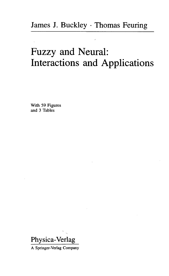## Fuzzy and Neural: Interactions and Applications

With 59 Figures and 3 Tables

Physica-Verlag

A Springer-Verlag Company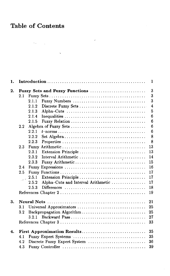## Table of Contents

 $\label{eq:1} \mathcal{L}(\mathbf{S},\mathbf{r})=\mathcal{L}(\mathbf{r},\mathbf{r})\mathcal{L}(\mathbf{r},\mathbf{r})$ 

 $\mathcal{L}^{\text{max}}_{\text{max}}$ 

| 2. |         | 3<br>Fuzzy Sets and Fuzzy Functions               |
|----|---------|---------------------------------------------------|
|    | 2.1     | $\overline{3}$                                    |
|    |         | $\overline{3}$<br>2.1.1<br>Fuzzy Numbers          |
|    |         | $\overline{4}$<br>2.1.2<br>Discrete Fuzzy Sets    |
|    |         | $\overline{5}$<br>2.1.3                           |
|    |         | 6<br>2.1.4                                        |
|    |         | 6<br>2.1.5<br>Fuzzy Relation                      |
|    | $2.2\,$ | $6\phantom{a}$                                    |
|    |         | $\boldsymbol{6}$<br>2.2.1                         |
|    |         | 8<br>2.2.2                                        |
|    |         | 2.2.3<br>8                                        |
|    | 2.3     | 13                                                |
|    |         | 13<br>2.3.1<br>Extension Principle                |
|    |         | 14<br>2.3.2<br>Interval Arithmetic                |
|    |         | 15<br>Fuzzy Arithmetic<br>2.3.3                   |
|    | 2.4     | 16                                                |
|    | 2.5     | 17                                                |
|    |         | 17<br>Extension Principle<br>2.5.1                |
|    |         | Alpha-Cuts and Interval Arithmetic<br>17<br>2.5.2 |
|    |         | 18<br>2.5.3                                       |
|    |         | 19                                                |
| 3. |         | 21                                                |
|    | 3.1     | 25<br>Universal Approximators                     |
|    | 3.2     | 25<br>Backpropagation Algorithm                   |
|    |         | 27<br>3.21                                        |
|    |         | 33                                                |
| 4. |         | 35<br>First Approximation Results                 |
|    | 4.1     | 35                                                |
|    | 4.2     | Discrete Fuzzy Expert System<br>36                |
|    |         |                                                   |

 $\sim 10^{-11}$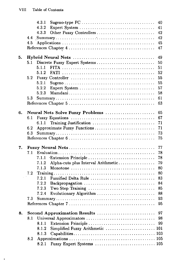$\bar{t}$ 

|    |     | 4.3.1 |                                                                                                                                                                                                                                                                                                                                                                                                                                                                                                                                                                            | 40  |
|----|-----|-------|----------------------------------------------------------------------------------------------------------------------------------------------------------------------------------------------------------------------------------------------------------------------------------------------------------------------------------------------------------------------------------------------------------------------------------------------------------------------------------------------------------------------------------------------------------------------------|-----|
|    |     | 4.3.2 |                                                                                                                                                                                                                                                                                                                                                                                                                                                                                                                                                                            | 41  |
|    |     | 4.3.3 | Other Fuzzy Controllers                                                                                                                                                                                                                                                                                                                                                                                                                                                                                                                                                    | 42  |
|    | 4.4 |       | $\begin{array}{c} \textbf{Summary} \end{array} \begin{array}{c} \textbf{Summary} \end{array} \begin{array}{c} \textbf{Summary} \end{array} \begin{array}{c} \textbf{Summary} \end{array} \end{array} \begin{array}{c} \textbf{Summary} \end{array} \begin{array}{c} \textbf{Output} \end{array} \begin{array}{c} \textbf{Output} \end{array} \end{array} \begin{array}{c} \textbf{Output} \end{array} \begin{array}{c} \textbf{Output} \end{array} \end{array} \begin{array}{c} \textbf{Output} \end{array} \begin{array}{c} \textbf{Output} \end{array} \begin{array}{c}$ | 42  |
|    | 4.5 |       |                                                                                                                                                                                                                                                                                                                                                                                                                                                                                                                                                                            | 45  |
|    |     |       |                                                                                                                                                                                                                                                                                                                                                                                                                                                                                                                                                                            | 47  |
|    |     |       |                                                                                                                                                                                                                                                                                                                                                                                                                                                                                                                                                                            |     |
| 5. |     |       |                                                                                                                                                                                                                                                                                                                                                                                                                                                                                                                                                                            | 49  |
|    | 5.1 |       | Discrete Fuzzy Expert Systems                                                                                                                                                                                                                                                                                                                                                                                                                                                                                                                                              | 50  |
|    |     | 5.1.1 |                                                                                                                                                                                                                                                                                                                                                                                                                                                                                                                                                                            | 51  |
|    |     | 5.1.2 |                                                                                                                                                                                                                                                                                                                                                                                                                                                                                                                                                                            | 52  |
|    | 5.2 |       |                                                                                                                                                                                                                                                                                                                                                                                                                                                                                                                                                                            | 55  |
|    |     | 5.2.1 |                                                                                                                                                                                                                                                                                                                                                                                                                                                                                                                                                                            | 55  |
|    |     | 5.2.2 |                                                                                                                                                                                                                                                                                                                                                                                                                                                                                                                                                                            | 57  |
|    |     | 5.2.3 |                                                                                                                                                                                                                                                                                                                                                                                                                                                                                                                                                                            | 58  |
|    | 5.3 |       |                                                                                                                                                                                                                                                                                                                                                                                                                                                                                                                                                                            | 61  |
|    |     |       |                                                                                                                                                                                                                                                                                                                                                                                                                                                                                                                                                                            | 63  |
| 6. |     |       | Neural Nets Solve Fuzzy Problems                                                                                                                                                                                                                                                                                                                                                                                                                                                                                                                                           | 65  |
|    | 6.1 |       |                                                                                                                                                                                                                                                                                                                                                                                                                                                                                                                                                                            | 67  |
|    |     | 6.1.1 | Training Justification                                                                                                                                                                                                                                                                                                                                                                                                                                                                                                                                                     | 71  |
|    | 6.2 |       | Approximate Fuzzy Functions                                                                                                                                                                                                                                                                                                                                                                                                                                                                                                                                                | 71  |
|    | 6.3 |       |                                                                                                                                                                                                                                                                                                                                                                                                                                                                                                                                                                            | 73  |
|    |     |       |                                                                                                                                                                                                                                                                                                                                                                                                                                                                                                                                                                            | 75  |
|    |     |       |                                                                                                                                                                                                                                                                                                                                                                                                                                                                                                                                                                            |     |
| 7. |     |       |                                                                                                                                                                                                                                                                                                                                                                                                                                                                                                                                                                            | 77  |
|    | 7.1 |       |                                                                                                                                                                                                                                                                                                                                                                                                                                                                                                                                                                            | 78  |
|    |     | 7.1.1 | 'Extension Principle                                                                                                                                                                                                                                                                                                                                                                                                                                                                                                                                                       | 78  |
|    |     | 7.1.2 | Alpha-cuts plus Interval Arithmetic                                                                                                                                                                                                                                                                                                                                                                                                                                                                                                                                        | 79  |
|    |     | 7.1.3 |                                                                                                                                                                                                                                                                                                                                                                                                                                                                                                                                                                            | 80  |
|    | 7.2 |       |                                                                                                                                                                                                                                                                                                                                                                                                                                                                                                                                                                            | 80  |
|    |     | 7.2.1 | Fuzzified Delta Rule                                                                                                                                                                                                                                                                                                                                                                                                                                                                                                                                                       | 83  |
|    |     | 7.2.2 | Backpropagation                                                                                                                                                                                                                                                                                                                                                                                                                                                                                                                                                            | 84  |
|    |     | 7.2.3 | Two Step Training                                                                                                                                                                                                                                                                                                                                                                                                                                                                                                                                                          | 85  |
|    |     | 7.2.4 | Evolutionary Algorithm                                                                                                                                                                                                                                                                                                                                                                                                                                                                                                                                                     | 88  |
|    | 7.3 |       |                                                                                                                                                                                                                                                                                                                                                                                                                                                                                                                                                                            | 93  |
|    |     |       |                                                                                                                                                                                                                                                                                                                                                                                                                                                                                                                                                                            | 95  |
|    |     |       | Second Approximation Results                                                                                                                                                                                                                                                                                                                                                                                                                                                                                                                                               | 97  |
| 8. | 8.1 |       | Universal Approximators                                                                                                                                                                                                                                                                                                                                                                                                                                                                                                                                                    | 98  |
|    |     | 8.1.1 |                                                                                                                                                                                                                                                                                                                                                                                                                                                                                                                                                                            | 99  |
|    |     | 8.1.2 | Simplified Fuzzy Arithmetic  101                                                                                                                                                                                                                                                                                                                                                                                                                                                                                                                                           |     |
|    |     | 8.1.3 |                                                                                                                                                                                                                                                                                                                                                                                                                                                                                                                                                                            |     |
|    | 8.2 |       |                                                                                                                                                                                                                                                                                                                                                                                                                                                                                                                                                                            | 105 |
|    |     | 8.2.1 | Fuzzy Expert Systems  105                                                                                                                                                                                                                                                                                                                                                                                                                                                                                                                                                  |     |
|    |     |       |                                                                                                                                                                                                                                                                                                                                                                                                                                                                                                                                                                            |     |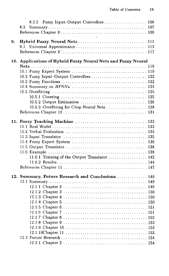l,

|    | 8.2.2 Fuzzy Input-Output Controllers 106                      |
|----|---------------------------------------------------------------|
|    | 8.3                                                           |
|    |                                                               |
|    |                                                               |
| 9. |                                                               |
|    |                                                               |
|    |                                                               |
|    |                                                               |
|    | 10. Applications of Hybrid Fuzzy Neural Nets and Fuzzy Neural |
|    |                                                               |
|    |                                                               |
|    | 10.2 Fuzzy Input-Output Controllers  122                      |
|    |                                                               |
|    |                                                               |
|    |                                                               |
|    |                                                               |
|    |                                                               |
|    | 10.5.3 Overfitting for Crisp Neural Nets 128                  |
|    |                                                               |
|    |                                                               |
|    |                                                               |
|    |                                                               |
|    |                                                               |
|    |                                                               |
|    |                                                               |
|    |                                                               |
|    |                                                               |
|    | 11.6.1 Training of the Output Translator  142                 |
|    |                                                               |
|    |                                                               |
|    |                                                               |
|    | 12. Summary, Future Research and Conclusions  149             |
|    |                                                               |
|    |                                                               |
|    |                                                               |
|    |                                                               |
|    |                                                               |
|    |                                                               |
|    |                                                               |
|    |                                                               |
|    |                                                               |
|    |                                                               |
|    |                                                               |
|    |                                                               |
|    |                                                               |
|    |                                                               |